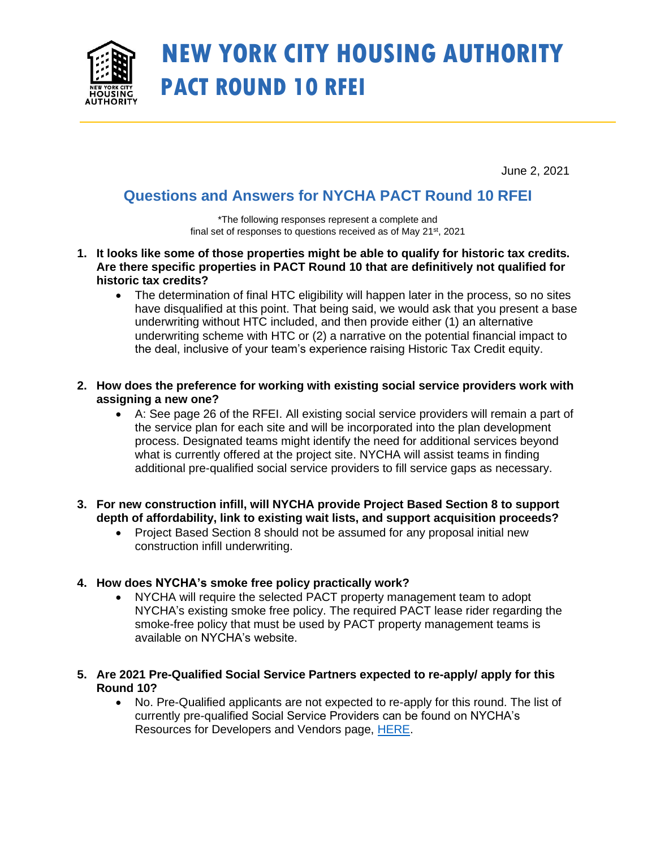

# **NEW YORK CITY HOUSING AUTHORITY PACT ROUND 10 RFEI**

June 2, 2021

## **Questions and Answers for NYCHA PACT Round 10 RFEI**

\*The following responses represent a complete and final set of responses to questions received as of May 21<sup>st</sup>, 2021

- **1. It looks like some of those properties might be able to qualify for historic tax credits. Are there specific properties in PACT Round 10 that are definitively not qualified for historic tax credits?**
	- The determination of final HTC eligibility will happen later in the process, so no sites have disqualified at this point. That being said, we would ask that you present a base underwriting without HTC included, and then provide either (1) an alternative underwriting scheme with HTC or (2) a narrative on the potential financial impact to the deal, inclusive of your team's experience raising Historic Tax Credit equity.
- **2. How does the preference for working with existing social service providers work with assigning a new one?**
	- A: See page 26 of the RFEI. All existing social service providers will remain a part of the service plan for each site and will be incorporated into the plan development process. Designated teams might identify the need for additional services beyond what is currently offered at the project site. NYCHA will assist teams in finding additional pre-qualified social service providers to fill service gaps as necessary.
- **3. For new construction infill, will NYCHA provide Project Based Section 8 to support depth of affordability, link to existing wait lists, and support acquisition proceeds?**
	- Project Based Section 8 should not be assumed for any proposal initial new construction infill underwriting.

#### **4. How does NYCHA's smoke free policy practically work?**

- NYCHA will require the selected PACT property management team to adopt NYCHA's existing smoke free policy. The required PACT lease rider regarding the smoke-free policy that must be used by PACT property management teams is available on NYCHA's website.
- **5. Are 2021 Pre-Qualified Social Service Partners expected to re-apply/ apply for this Round 10?**
	- No. Pre-Qualified applicants are not expected to re-apply for this round. The list of currently pre-qualified Social Service Providers can be found on NYCHA's Resources for Developers and Vendors page, [HERE.](https://www1.nyc.gov/site/nycha/about/pact/procurement.page)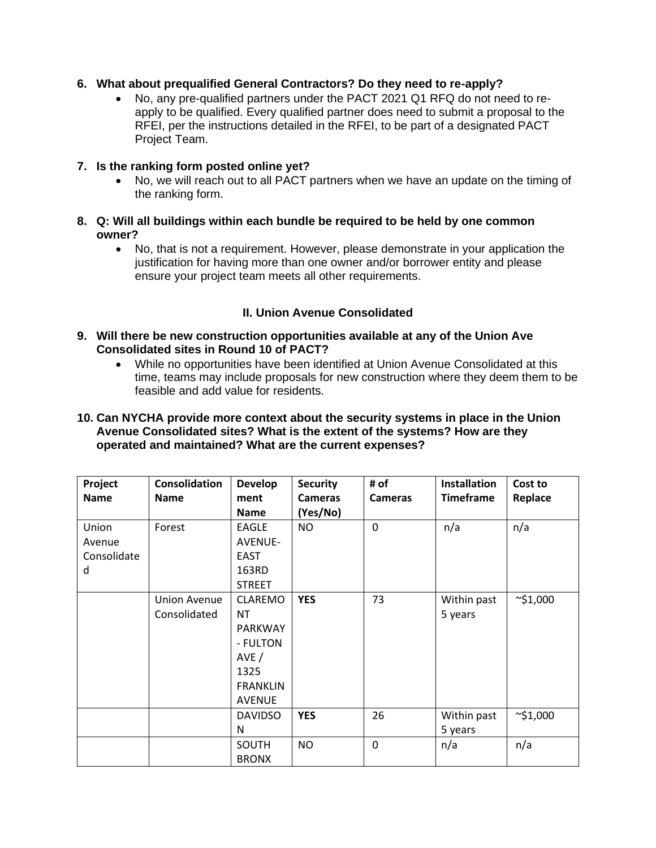#### **6. What about prequalified General Contractors? Do they need to re-apply?**

• No, any pre-qualified partners under the PACT 2021 Q1 RFQ do not need to reapply to be qualified. Every qualified partner does need to submit a proposal to the RFEI, per the instructions detailed in the RFEI, to be part of a designated PACT Project Team.

#### **7. Is the ranking form posted online yet?**

• No, we will reach out to all PACT partners when we have an update on the timing of the ranking form.

#### **8. Q: Will all buildings within each bundle be required to be held by one common owner?**

• No, that is not a requirement. However, please demonstrate in your application the justification for having more than one owner and/or borrower entity and please ensure your project team meets all other requirements.

### **II. Union Avenue Consolidated**

#### **9. Will there be new construction opportunities available at any of the Union Ave Consolidated sites in Round 10 of PACT?**

- While no opportunities have been identified at Union Avenue Consolidated at this time, teams may include proposals for new construction where they deem them to be feasible and add value for residents.
- **10. Can NYCHA provide more context about the security systems in place in the Union Avenue Consolidated sites? What is the extent of the systems? How are they operated and maintained? What are the current expenses?**

| Project<br><b>Name</b>              | <b>Consolidation</b><br><b>Name</b> | <b>Develop</b><br>ment<br><b>Name</b>                                                                         | <b>Security</b><br><b>Cameras</b><br>(Yes/No) | # of<br><b>Cameras</b> | <b>Installation</b><br><b>Timeframe</b> | Cost to<br>Replace |
|-------------------------------------|-------------------------------------|---------------------------------------------------------------------------------------------------------------|-----------------------------------------------|------------------------|-----------------------------------------|--------------------|
| Union<br>Avenue<br>Consolidate<br>d | Forest                              | <b>EAGLE</b><br><b>AVENUE-</b><br><b>EAST</b><br>163RD<br><b>STREET</b>                                       | <b>NO</b>                                     | $\mathbf 0$            | n/a                                     | n/a                |
|                                     | <b>Union Avenue</b><br>Consolidated | <b>CLAREMO</b><br><b>NT</b><br><b>PARKWAY</b><br>- FULTON<br>AVE/<br>1325<br><b>FRANKLIN</b><br><b>AVENUE</b> | <b>YES</b>                                    | 73                     | Within past<br>5 years                  | $\sim$ \$1,000     |
|                                     |                                     | <b>DAVIDSO</b><br>N                                                                                           | <b>YES</b>                                    | 26                     | Within past<br>5 years                  | $\sim$ \$1,000     |
|                                     |                                     | SOUTH<br><b>BRONX</b>                                                                                         | <b>NO</b>                                     | $\mathbf 0$            | n/a                                     | n/a                |